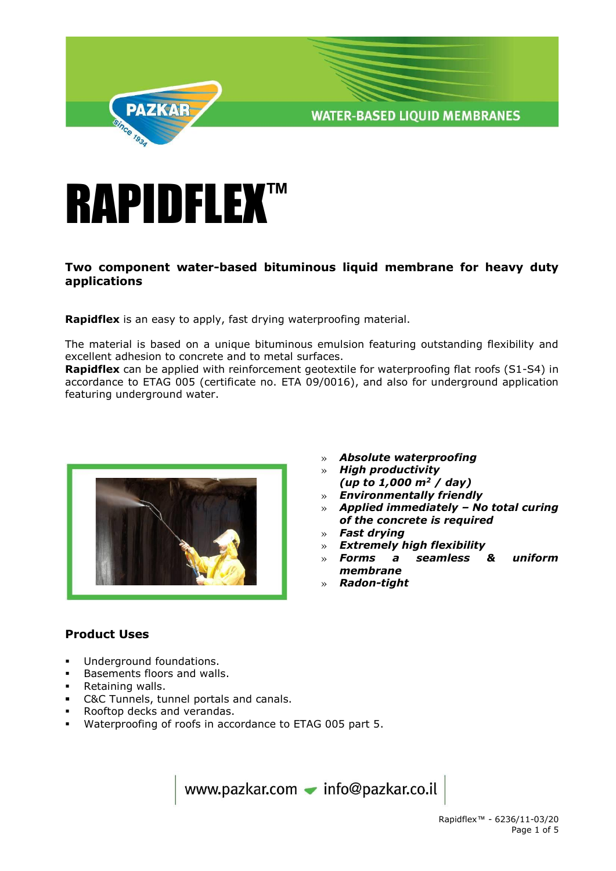



#### **Two component water-based bituminous liquid membrane for heavy duty applications**

**Rapidflex** is an easy to apply, fast drying waterproofing material.

The material is based on a unique bituminous emulsion featuring outstanding flexibility and excellent adhesion to concrete and to metal surfaces.

**Rapidflex** can be applied with reinforcement geotextile for waterproofing flat roofs (S1-S4) in accordance to ETAG 005 (certificate no. ETA 09/0016), and also for underground application featuring underground water.



- » *Absolute waterproofing*
- » *High productivity (up to 1,000 m<sup>2</sup> / day)*
- » *Environmentally friendly*
- » *Applied immediately – No total curing of the concrete is required*
- » *Fast drying*
- » *Extremely high flexibility*
- » *Forms a seamless & uniform membrane*
- » *Radon-tight*

# **Product Uses**

- **Underground foundations.**
- Basements floors and walls.
- **Retaining walls.**
- C&C Tunnels, tunnel portals and canals.
- Rooftop decks and verandas.
- Waterproofing of roofs in accordance to ETAG 005 part 5.

www.pazkar.com - info@pazkar.co.il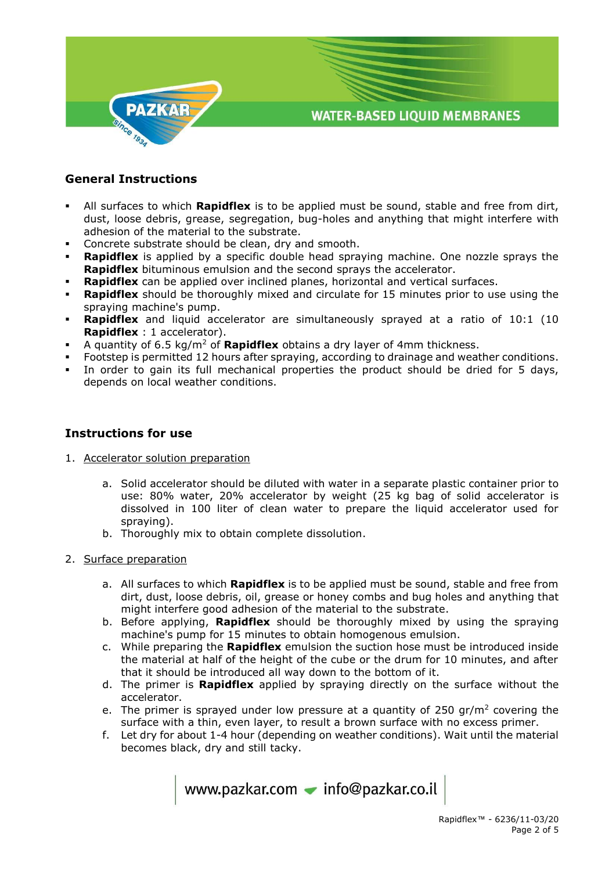

## **General Instructions**

- All surfaces to which **Rapidflex** is to be applied must be sound, stable and free from dirt, dust, loose debris, grease, segregation, bug-holes and anything that might interfere with adhesion of the material to the substrate.
- Concrete substrate should be clean, dry and smooth.
- **Rapidflex** is applied by a specific double head spraying machine. One nozzle sprays the **Rapidflex** bituminous emulsion and the second sprays the accelerator.
- **Rapidflex** can be applied over inclined planes, horizontal and vertical surfaces.
- **Rapidflex** should be thoroughly mixed and circulate for 15 minutes prior to use using the spraying machine's pump.
- **Rapidflex** and liquid accelerator are simultaneously sprayed at a ratio of 10:1 (10 **Rapidflex** : 1 accelerator).
- A quantity of 6.5 kg/m<sup>2</sup> of **Rapidflex** obtains a dry layer of 4mm thickness.
- Footstep is permitted 12 hours after spraying, according to drainage and weather conditions.
- In order to gain its full mechanical properties the product should be dried for 5 days, depends on local weather conditions.

#### **Instructions for use**

- 1. Accelerator solution preparation
	- a. Solid accelerator should be diluted with water in a separate plastic container prior to use: 80% water, 20% accelerator by weight (25 kg bag of solid accelerator is dissolved in 100 liter of clean water to prepare the liquid accelerator used for spraying).
	- b. Thoroughly mix to obtain complete dissolution.
- 2. Surface preparation
	- a. All surfaces to which **Rapidflex** is to be applied must be sound, stable and free from dirt, dust, loose debris, oil, grease or honey combs and bug holes and anything that might interfere good adhesion of the material to the substrate.
	- b. Before applying, **Rapidflex** should be thoroughly mixed by using the spraying machine's pump for 15 minutes to obtain homogenous emulsion.
	- c. While preparing the **Rapidflex** emulsion the suction hose must be introduced inside the material at half of the height of the cube or the drum for 10 minutes, and after that it should be introduced all way down to the bottom of it.
	- d. The primer is **Rapidflex** applied by spraying directly on the surface without the accelerator.
	- e. The primer is sprayed under low pressure at a quantity of 250  $gr/m<sup>2</sup>$  covering the surface with a thin, even layer, to result a brown surface with no excess primer.
	- f. Let dry for about 1-4 hour (depending on weather conditions). Wait until the material becomes black, dry and still tacky.

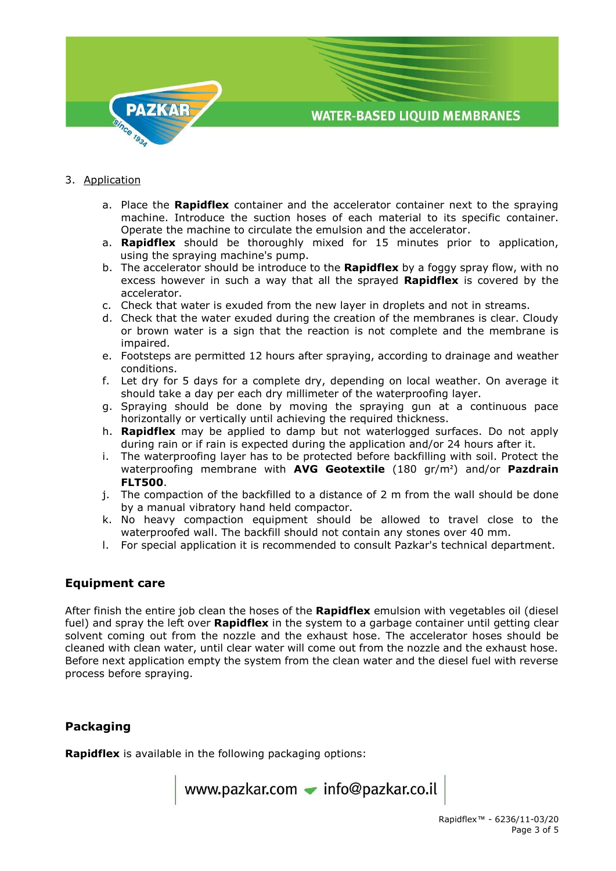

#### 3. Application

- a. Place the **Rapidflex** container and the accelerator container next to the spraying machine. Introduce the suction hoses of each material to its specific container. Operate the machine to circulate the emulsion and the accelerator.
- a. **Rapidflex** should be thoroughly mixed for 15 minutes prior to application, using the spraying machine's pump.
- b. The accelerator should be introduce to the **Rapidflex** by a foggy spray flow, with no excess however in such a way that all the sprayed **Rapidflex** is covered by the accelerator.
- c. Check that water is exuded from the new layer in droplets and not in streams.
- d. Check that the water exuded during the creation of the membranes is clear. Cloudy or brown water is a sign that the reaction is not complete and the membrane is impaired.
- e. Footsteps are permitted 12 hours after spraying, according to drainage and weather conditions.
- f. Let dry for 5 days for a complete dry, depending on local weather. On average it should take a day per each dry millimeter of the waterproofing layer.
- g. Spraying should be done by moving the spraying gun at a continuous pace horizontally or vertically until achieving the required thickness.
- h. **Rapidflex** may be applied to damp but not waterlogged surfaces. Do not apply during rain or if rain is expected during the application and/or 24 hours after it.
- i. The waterproofing layer has to be protected before backfilling with soil. Protect the waterproofing membrane with **AVG Geotextile** (180 gr/m²) and/or **Pazdrain FLT500**.
- j. The compaction of the backfilled to a distance of 2 m from the wall should be done by a manual vibratory hand held compactor.
- k. No heavy compaction equipment should be allowed to travel close to the waterproofed wall. The backfill should not contain any stones over 40 mm.
- l. For special application it is recommended to consult Pazkar's technical department.

## **Equipment care**

After finish the entire job clean the hoses of the **Rapidflex** emulsion with vegetables oil (diesel fuel) and spray the left over **Rapidflex** in the system to a garbage container until getting clear solvent coming out from the nozzle and the exhaust hose. The accelerator hoses should be cleaned with clean water, until clear water will come out from the nozzle and the exhaust hose. Before next application empty the system from the clean water and the diesel fuel with reverse process before spraying.

## **Packaging**

**Rapidflex** is available in the following packaging options:

www.pazkar.com • info@pazkar.co.il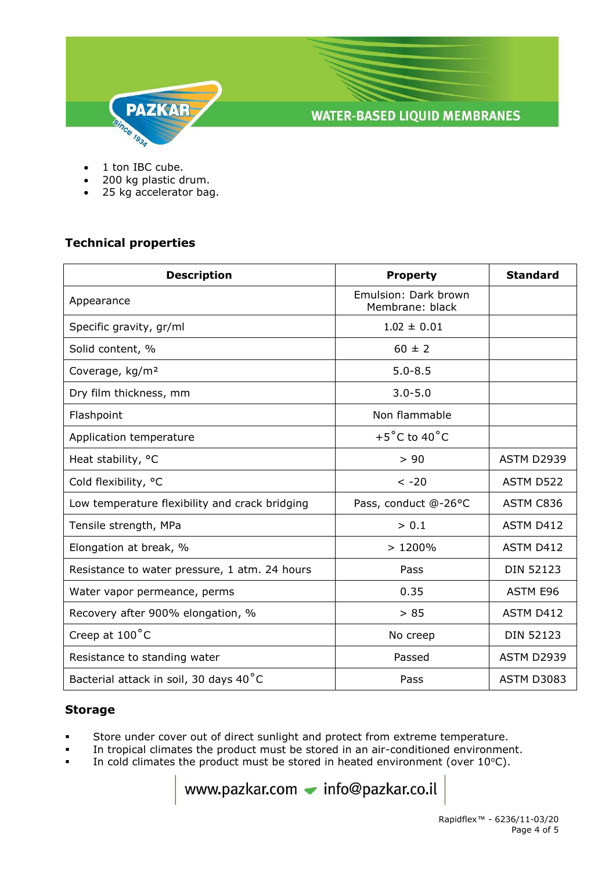

- 1 ton IBC cube.
- 200 kg plastic drum.
- 25 kg accelerator bag.

## **Technical properties**

| <b>Description</b>                             | <b>Property</b>                         | <b>Standard</b>   |
|------------------------------------------------|-----------------------------------------|-------------------|
| Appearance                                     | Emulsion: Dark brown<br>Membrane: black |                   |
| Specific gravity, gr/ml                        | $1.02 \pm 0.01$                         |                   |
| Solid content, %                               | $60 \pm 2$                              |                   |
| Coverage, kg/m <sup>2</sup>                    | $5.0 - 8.5$                             |                   |
| Dry film thickness, mm                         | $3.0 - 5.0$                             |                   |
| Flashpoint                                     | Non flammable                           |                   |
| Application temperature                        | $+5^{\circ}$ C to 40 $^{\circ}$ C       |                   |
| Heat stability, °C                             | > 90                                    | <b>ASTM D2939</b> |
| Cold flexibility, °C                           | $< -20$                                 | ASTM D522         |
| Low temperature flexibility and crack bridging | Pass, conduct @-26°C                    | ASTM C836         |
| Tensile strength, MPa                          | > 0.1                                   | ASTM D412         |
| Elongation at break, %                         | >1200%                                  | ASTM D412         |
| Resistance to water pressure, 1 atm. 24 hours  | Pass                                    | <b>DIN 52123</b>  |
| Water vapor permeance, perms                   | 0.35                                    | ASTM E96          |
| Recovery after 900% elongation, %              | > 85                                    | ASTM D412         |
| Creep at $100^{\circ}$ C                       | No creep                                | <b>DIN 52123</b>  |
| Resistance to standing water                   | Passed                                  | ASTM D2939        |
| Bacterial attack in soil, 30 days 40°C         | Pass                                    | <b>ASTM D3083</b> |

#### **Storage**

- Store under cover out of direct sunlight and protect from extreme temperature.
- In tropical climates the product must be stored in an air-conditioned environment.
- In cold climates the product must be stored in heated environment (over  $10^{\circ}$ C).

www.pazkar.com - info@pazkar.co.il